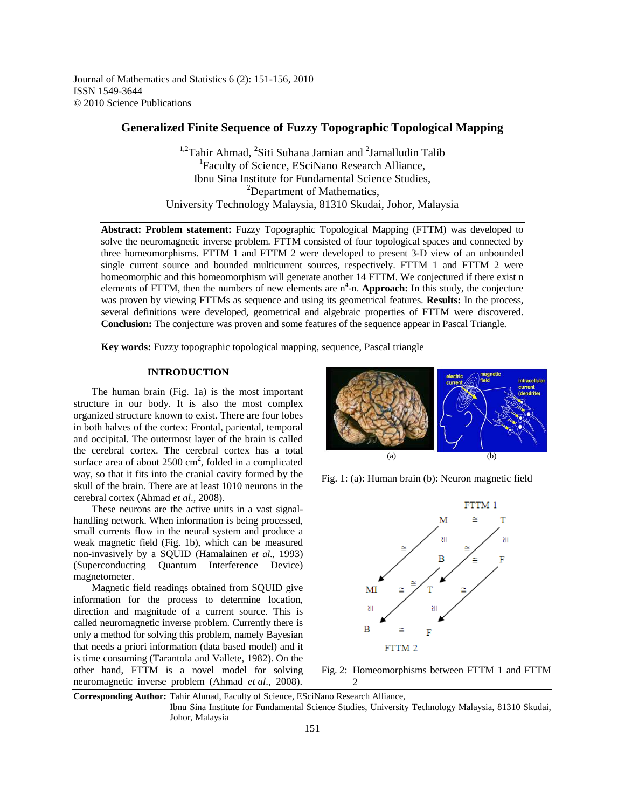Journal of Mathematics and Statistics 6 (2): 151-156, 2010 ISSN 1549-3644 © 2010 Science Publications

# **Generalized Finite Sequence of Fuzzy Topographic Topological Mapping**

<sup>1,2</sup>Tahir Ahmad, <sup>2</sup>Siti Suhana Jamian and <sup>2</sup>Jamalludin Talib <sup>1</sup>Faculty of Science, ESciNano Research Alliance, Ibnu Sina Institute for Fundamental Science Studies, <sup>2</sup>Department of Mathematics, University Technology Malaysia, 81310 Skudai, Johor, Malaysia

**Abstract: Problem statement:** Fuzzy Topographic Topological Mapping (FTTM) was developed to solve the neuromagnetic inverse problem. FTTM consisted of four topological spaces and connected by three homeomorphisms. FTTM 1 and FTTM 2 were developed to present 3-D view of an unbounded single current source and bounded multicurrent sources, respectively. FTTM 1 and FTTM 2 were homeomorphic and this homeomorphism will generate another 14 FTTM. We conjectured if there exist n elements of FTTM, then the numbers of new elements are  $n^4$ -n. **Approach:** In this study, the conjecture was proven by viewing FTTMs as sequence and using its geometrical features. **Results:** In the process, several definitions were developed, geometrical and algebraic properties of FTTM were discovered. **Conclusion:** The conjecture was proven and some features of the sequence appear in Pascal Triangle.

**Key words:** Fuzzy topographic topological mapping, sequence, Pascal triangle

### **INTRODUCTION**

 The human brain (Fig. 1a) is the most important structure in our body. It is also the most complex organized structure known to exist. There are four lobes in both halves of the cortex: Frontal, pariental, temporal and occipital. The outermost layer of the brain is called the cerebral cortex. The cerebral cortex has a total surface area of about  $2500 \text{ cm}^2$ , folded in a complicated way, so that it fits into the cranial cavity formed by the skull of the brain. There are at least 1010 neurons in the cerebral cortex (Ahmad *et al*., 2008).

 These neurons are the active units in a vast signalhandling network. When information is being processed, small currents flow in the neural system and produce a weak magnetic field (Fig. 1b), which can be measured non-invasively by a SQUID (Hamalainen *et al*., 1993) (Superconducting Quantum Interference Device) magnetometer.

 Magnetic field readings obtained from SQUID give information for the process to determine location, direction and magnitude of a current source. This is called neuromagnetic inverse problem. Currently there is only a method for solving this problem, namely Bayesian that needs a priori information (data based model) and it is time consuming (Tarantola and Vallete, 1982). On the other hand, FTTM is a novel model for solving neuromagnetic inverse problem (Ahmad *et al*., 2008).



Fig. 1: (a): Human brain (b): Neuron magnetic field



Fig. 2: Homeomorphisms between FTTM 1 and FTTM 2

**Corresponding Author:** Tahir Ahmad, Faculty of Science, ESciNano Research Alliance,

Ibnu Sina Institute for Fundamental Science Studies, University Technology Malaysia, 81310 Skudai, Johor, Malaysia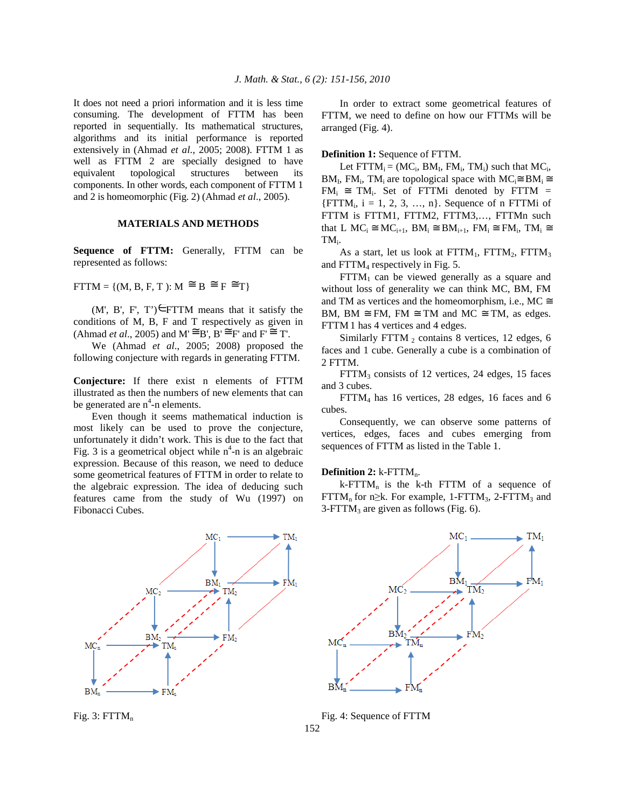It does not need a priori information and it is less time consuming. The development of FTTM has been reported in sequentially. Its mathematical structures, algorithms and its initial performance is reported extensively in (Ahmad *et al*., 2005; 2008). FTTM 1 as well as FTTM 2 are specially designed to have equivalent topological structures between its components. In other words, each component of FTTM 1 and 2 is homeomorphic (Fig. 2) (Ahmad *et al*., 2005).

### **MATERIALS AND METHODS**

**Sequence of FTTM:** Generally, FTTM can be represented as follows:

 $FTTM = \{(M, B, F, T): M \cong B \cong F \cong T\}$ 

 $(M', B', F', T') \in FTTM$  means that it satisfy the conditions of M, B, F and T respectively as given in (Ahmad *et al.*, 2005) and  $M \cong B'$ ,  $B' \cong F'$  and  $F' \cong T'$ .

 We (Ahmad *et al*., 2005; 2008) proposed the following conjecture with regards in generating FTTM.

**Conjecture:** If there exist n elements of FTTM illustrated as then the numbers of new elements that can be generated are  $n^4$ -n elements.

 Even though it seems mathematical induction is most likely can be used to prove the conjecture, unfortunately it didn't work. This is due to the fact that Fig. 3 is a geometrical object while  $n^4$ -n is an algebraic expression. Because of this reason, we need to deduce some geometrical features of FTTM in order to relate to the algebraic expression. The idea of deducing such features came from the study of Wu (1997) on Fibonacci Cubes.



Fig.  $3:$  FTTM<sub>n</sub>

 In order to extract some geometrical features of FTTM, we need to define on how our FTTMs will be arranged (Fig. 4).

### **Definition 1:** Sequence of FTTM.

Let  $\text{FTTM}_i = (MC_i, BM_I, FM_i, TM_i)$  such that  $MC_i$ ,  $BM_I$ , FM<sub>i</sub>, TM<sub>i</sub> are topological space with  $MC_i \cong BM_i \cong$  $FM_i \cong TM_i$ . Set of FTTMi denoted by FTTM =  ${FTTM_i, i = 1, 2, 3, ..., n}.$  Sequence of n FTTMi of FTTM is FTTM1, FTTM2, FTTM3,..., FTTMn such that L  $MC_i \cong MC_{i+1}$ ,  $BM_i \cong BM_{i+1}$ ,  $FM_i \cong FM_i$ ,  $TM_i \cong$  $TM_i$ .

As a start, let us look at  $FTTM_1$ ,  $FTTM_2$ ,  $FTTM_3$ and FTTM<sub>4</sub> respectively in Fig. 5.

 $FTTM_1$  can be viewed generally as a square and without loss of generality we can think MC, BM, FM and TM as vertices and the homeomorphism, i.e., MC  $\cong$ BM, BM  $\cong$  FM, FM  $\cong$  TM and MC  $\cong$  TM, as edges. FTTM 1 has 4 vertices and 4 edges.

Similarly FTTM  $<sub>2</sub>$  contains 8 vertices, 12 edges, 6</sub> faces and 1 cube. Generally a cube is a combination of 2 FTTM.

 $FTTM<sub>3</sub>$  consists of 12 vertices, 24 edges, 15 faces and 3 cubes.

 FTTM4 has 16 vertices, 28 edges, 16 faces and 6 cubes.

 Consequently, we can observe some patterns of vertices, edges, faces and cubes emerging from sequences of FTTM as listed in the Table 1.

#### **Definition 2:** k-FTTM<sub>n</sub>.

 $k$ -FTTM<sub>n</sub> is the k-th FTTM of a sequence of FTTM<sub>n</sub> for n≥k. For example, 1-FTTM<sub>3</sub>, 2-FTTM<sub>3</sub> and  $3-FTTM<sub>3</sub>$  are given as follows (Fig. 6).



Fig. 4: Sequence of FTTM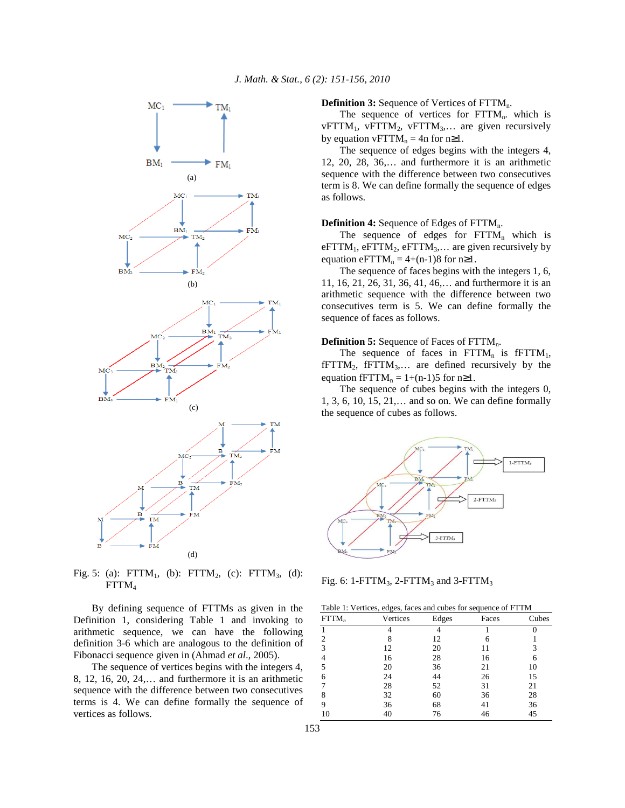

Fig. 5: (a):  $FTTM_1$ , (b):  $FTTM_2$ , (c):  $FTTM_3$ , (d): FTTM<sup>4</sup>

 By defining sequence of FTTMs as given in the Definition 1, considering Table 1 and invoking to arithmetic sequence, we can have the following definition 3-6 which are analogous to the definition of Fibonacci sequence given in (Ahmad *et al*., 2005).

 The sequence of vertices begins with the integers 4, 8, 12, 16, 20, 24,… and furthermore it is an arithmetic sequence with the difference between two consecutives terms is 4. We can define formally the sequence of vertices as follows.

**Definition 3:** Sequence of Vertices of FTTM<sub>n</sub>.

The sequence of vertices for  $FTTM_n$ . which is vFTTM<sub>1</sub>, vFTTM<sub>2</sub>, vFTTM<sub>3</sub>,... are given recursively by equation vFTTM<sub>n</sub> = 4n for n≥1.

 The sequence of edges begins with the integers 4, 12, 20, 28, 36,… and furthermore it is an arithmetic sequence with the difference between two consecutives term is 8. We can define formally the sequence of edges as follows.

### **Definition 4:** Sequence of Edges of FTTM<sub>n</sub>.

The sequence of edges for  $\text{FTTM}_n$  which is eFTTM<sub>1</sub>, eFTTM<sub>2</sub>, eFTTM<sub>3</sub>,... are given recursively by equation eFTTM<sub>n</sub> = 4+(n-1)8 for n≥1.

 The sequence of faces begins with the integers 1, 6, 11, 16, 21, 26, 31, 36, 41, 46,… and furthermore it is an arithmetic sequence with the difference between two consecutives term is 5. We can define formally the sequence of faces as follows.

### **Definition 5:** Sequence of Faces of FTTM<sub>n</sub>.

The sequence of faces in  $\text{FTTM}_n$  is  $\text{FTTM}_1$ ,  $fFTTM_2$ ,  $fFTTM_3,...$  are defined recursively by the equation fFTTM<sub>n</sub> = 1+(n-1)5 for n≥1.

 The sequence of cubes begins with the integers 0, 1, 3, 6, 10, 15, 21,… and so on. We can define formally the sequence of cubes as follows.



Fig. 6: 1-FTT $M_3$ , 2-FTT $M_3$  and 3-FTT $M_3$ 

|      | Table 1: Vertices, edges, faces and cubes for sequence of FTTM |              |       |         |
|------|----------------------------------------------------------------|--------------|-------|---------|
| FTTM | Vertices                                                       | <b>Edges</b> | Faces | $C$ ube |

| $FTTM_n$ | Vertices | Edges | Faces | Cubes |
|----------|----------|-------|-------|-------|
|          |          |       |       |       |
| 2        | 8        | 12    | 6     |       |
| 3        | 12       | 20    | 11    | 3     |
|          | 16       | 28    | 16    | 6     |
| 5        | 20       | 36    | 21    | 10    |
| 6        | 24       | 44    | 26    | 15    |
|          | 28       | 52    | 31    | 21    |
| 8        | 32       | 60    | 36    | 28    |
| 9        | 36       | 68    | 41    | 36    |
| 10       | 40       | 76    | 46    | 45    |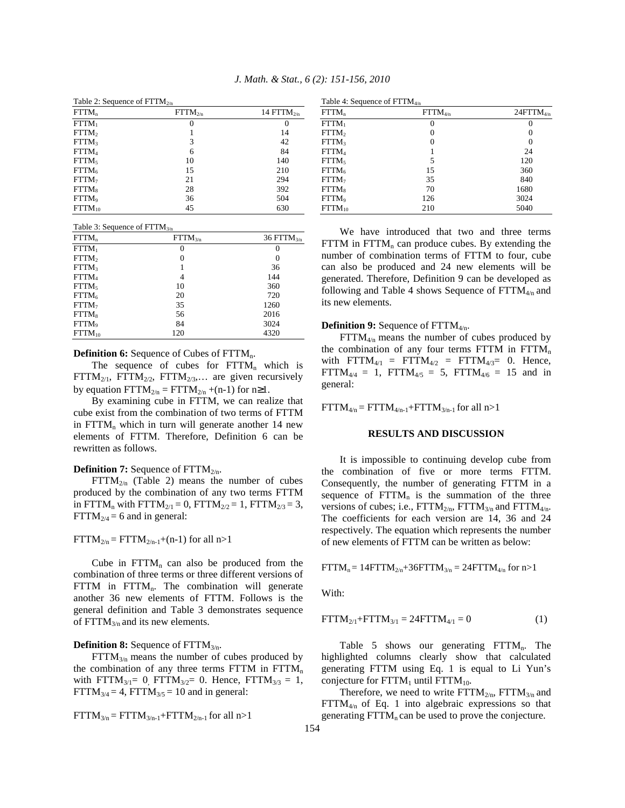| Table 2: Sequence of $FTTM_{2/n}$ |              |                 |  |  |
|-----------------------------------|--------------|-----------------|--|--|
| FTTM <sub>n</sub>                 | $FTTM_{2/n}$ | 14 $FTTM_{2/n}$ |  |  |
| $FTTM_1$                          | $\theta$     | $\theta$        |  |  |
| FTTM <sub>2</sub>                 |              | 14              |  |  |
| FTTM <sub>3</sub>                 | 3            | 42              |  |  |
| $FTTM_4$                          | 6            | 84              |  |  |
| FTTM <sub>5</sub>                 | 10           | 140             |  |  |
| $FTTM_6$                          | 15           | 210             |  |  |
| FTTM <sub>7</sub>                 | 21           | 294             |  |  |
| $FTTM_8$                          | 28           | 392             |  |  |
| FTTM <sub>9</sub>                 | 36           | 504             |  |  |
| $FTTM_{10}$                       | 45           | 630             |  |  |

*J. Math. & Stat., 6 (2): 151-156, 2010*

| Table 3: Sequence of $FTTM_{3/n}$ |              |                  |  |
|-----------------------------------|--------------|------------------|--|
| $FTTM_n$                          | $FTTM_{3/n}$ | 36 FTT $M_{3/n}$ |  |
| $FTTM_1$                          | 0            | $\theta$         |  |
| FTTM <sub>2</sub>                 | 0            | 0                |  |
| FTTM <sub>3</sub>                 |              | 36               |  |
| FTTM <sub>4</sub>                 | 4            | 144              |  |
| FTTM <sub>5</sub>                 | 10           | 360              |  |
| $FTTM_6$                          | 20           | 720              |  |
| FTTM <sub>7</sub>                 | 35           | 1260             |  |
| $FTTM_8$                          | 56           | 2016             |  |
| FTTM <sub>9</sub>                 | 84           | 3024             |  |
| $FTTM_{10}$                       | 120          | 4320             |  |

**Definition 6:** Sequence of Cubes of FTTM<sub>n</sub>.

The sequence of cubes for  $\text{FTTM}_n$  which is  $\text{FTTM}_{2/1}$ ,  $\text{FTTM}_{2/2}$ ,  $\text{FTTM}_{2/3}$ ,... are given recursively by equation  $\text{FTTM}_{2/n} = \text{FTTM}_{2/n} + (n-1)$  for  $n \ge 1$ .

 By examining cube in FTTM, we can realize that cube exist from the combination of two terms of FTTM in  $FTTM_n$  which in turn will generate another 14 new elements of FTTM. Therefore, Definition 6 can be rewritten as follows.

### **Definition 7:** Sequence of FTTM<sub>2/n</sub>.

 $\text{FTTM}_{2/n}$  (Table 2) means the number of cubes produced by the combination of any two terms FTTM in FTTM<sub>n</sub> with FTTM<sub>2/1</sub> = 0, FTTM<sub>2/2</sub> = 1, FTTM<sub>2/3</sub> = 3,  $FTTM_{2/4} = 6$  and in general:

### $FTTM_{2/n} = FTTM_{2/n-1}+(n-1)$  for all n>1

Cube in  $FTTM_n$  can also be produced from the combination of three terms or three different versions of  $\text{FTTM}$  in  $\text{FTTM}_n$ . The combination will generate another 36 new elements of FTTM. Follows is the general definition and Table 3 demonstrates sequence of  $\text{FTTM}_{3/n}$  and its new elements.

#### **Definition 8:** Sequence of FTTM<sub>3/n</sub>.

 $\text{FTTM}_{3/n}$  means the number of cubes produced by the combination of any three terms FTTM in  $\text{FTTM}_{n}$ with  $FTTM_{3/1}= 0$ ,  $FTTM_{3/2}= 0$ . Hence,  $FTTM_{3/3}= 1$ ,  $FTTM_{3/4} = 4$ ,  $FTTM_{3/5} = 10$  and in general:

$$
FTTM_{3/n} = FTTM_{3/n-1} + FTTM_{2/n-1} for all n > 1
$$

| Table 4: Sequence of $FTTM_{4/n}$ |              |                    |  |
|-----------------------------------|--------------|--------------------|--|
| FTTM <sub>n</sub>                 | $FTTM_{4/n}$ | $24$ FTT $M_{4/n}$ |  |
| $FTTM_1$                          | 0            |                    |  |
| FTTM <sub>2</sub>                 | 0            | 0                  |  |
| FTTM <sub>3</sub>                 | 0            | 0                  |  |
| $FTTM_4$                          |              | 24                 |  |
| FTTM <sub>5</sub>                 | 5            | 120                |  |
| $FTTM_6$                          | 15           | 360                |  |
| FTTM <sub>7</sub>                 | 35           | 840                |  |
| $FTTM_8$                          | 70           | 1680               |  |
| FTTM <sub>9</sub>                 | 126          | 3024               |  |
| $FTTM_{10}$                       | 210          | 5040               |  |

 We have introduced that two and three terms  $\text{FTTM}$  in  $\text{FTTM}_n$  can produce cubes. By extending the number of combination terms of FTTM to four, cube can also be produced and 24 new elements will be generated. Therefore, Definition 9 can be developed as following and Table 4 shows Sequence of  $FTTM_{4/n}$  and its new elements.

### **Definition 9:** Sequence of FTTM<sub>4/n</sub>.

 $\text{FTTM}_{4/n}$  means the number of cubes produced by the combination of any four terms FTTM in  $\text{FTTM}_{n}$ with  $\text{FTTM}_{4/1} = \text{FTTM}_{4/2} = \text{FTTM}_{4/3} = 0$ . Hence,  $FTTM_{4/4} = 1$ ,  $FTTM_{4/5} = 5$ ,  $FTTM_{4/6} = 15$  and in general:

 $FTTM_{4/n} = FTTM_{4/n-1} + FTTM_{3/n-1}$  for all n>1

#### **RESULTS AND DISCUSSION**

 It is impossible to continuing develop cube from the combination of five or more terms FTTM. Consequently, the number of generating FTTM in a sequence of  $\text{FTTM}_n$  is the summation of the three versions of cubes; i.e.,  $\text{FTTM}_{2/n}$ ,  $\text{FTTM}_{3/n}$  and  $\text{FTTM}_{4/n}$ . The coefficients for each version are 14, 36 and 24 respectively. The equation which represents the number of new elements of FTTM can be written as below:

 $FTTM_n = 14FTTM_{2/n} + 36FTTM_{3/n} = 24FTTM_{4/n}$  for n>1

With:

$$
FTTM_{2/1} + FTTM_{3/1} = 24FTTM_{4/1} = 0
$$
 (1)

Table 5 shows our generating  $\text{FTTM}_n$ . The highlighted columns clearly show that calculated generating FTTM using Eq. 1 is equal to Li Yun's conjecture for  $\text{FTTM}_1$  until  $\text{FTTM}_{10}$ .

Therefore, we need to write  $FTTM_{2/n}$ ,  $FTTM_{3/n}$  and  $\text{FTTM}_{4/n}$  of Eq. 1 into algebraic expressions so that generating  $\text{FTTM}_n$  can be used to prove the conjecture.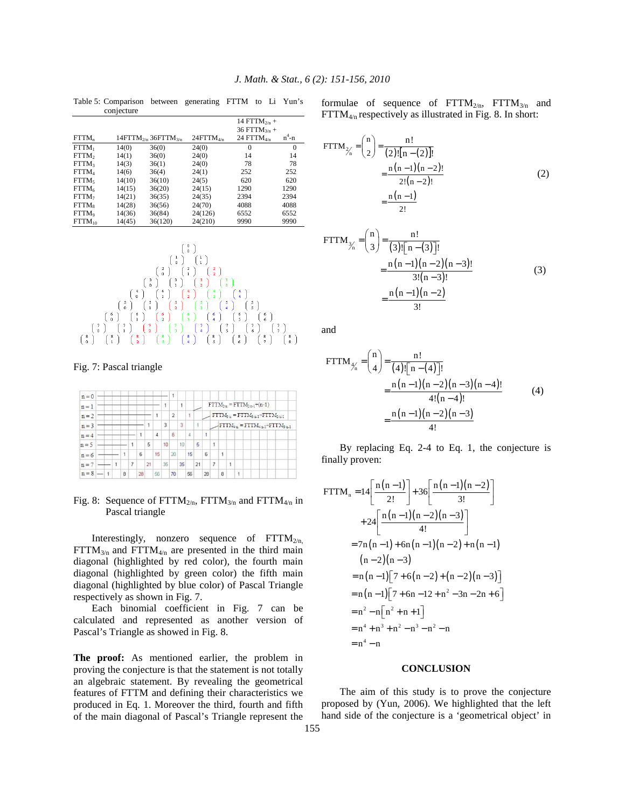|                   | conjecture |                                                   |                    |                                                      |              |
|-------------------|------------|---------------------------------------------------|--------------------|------------------------------------------------------|--------------|
|                   |            |                                                   |                    | 14 FTTM <sub>2/n</sub> +<br>36 FTTM <sub>3/n</sub> + |              |
| $FTTM_n$          |            | $14$ FTTM <sub>2/n</sub> $36$ FTTM <sub>3/n</sub> | $24$ FTT $M_{4/n}$ | 24 $FTTM_{4/n}$                                      | $n^4 - n$    |
| $FTTM_1$          | 14(0)      | 36(0)                                             | 24(0)              | $\theta$                                             | $\mathbf{0}$ |
| FTTM <sub>2</sub> | 14(1)      | 36(0)                                             | 24(0)              | 14                                                   | 14           |
| FTTM <sub>3</sub> | 14(3)      | 36(1)                                             | 24(0)              | 78                                                   | 78           |
| $FTTM_4$          | 14(6)      | 36(4)                                             | 24(1)              | 252                                                  | 252          |
| FTTM.             | 14(10)     | 36(10)                                            | 24(5)              | 620                                                  | 620          |
| FTTM <sub>6</sub> | 14(15)     | 36(20)                                            | 24(15)             | 1290                                                 | 1290         |
| FTTM <sub>7</sub> | 14(21)     | 36(35)                                            | 24(35)             | 2394                                                 | 2394         |
| FTTM <sub>s</sub> | 14(28)     | 36(56)                                            | 24(70)             | 4088                                                 | 4088         |
| FTTM <sub>9</sub> | 14(36)     | 36(84)                                            | 24(126)            | 6552                                                 | 6552         |
| $FTTM_{10}$       | 14(45)     | 36(120)                                           | 24(210)            | 9990                                                 | 9990         |





Fig. 7: Pascal triangle



Fig. 8: Sequence of  $FTTM_{2/n}$ ,  $FTTM_{3/n}$  and  $FTTM_{4/n}$  in Pascal triangle

Interestingly, nonzero sequence of  $\text{FTTM}_{2/n}$ ,  $\text{FTTM}_{3/n}$  and  $\text{FTTM}_{4/n}$  are presented in the third main diagonal (highlighted by red color), the fourth main diagonal (highlighted by green color) the fifth main diagonal (highlighted by blue color) of Pascal Triangle respectively as shown in Fig. 7.

 Each binomial coefficient in Fig. 7 can be calculated and represented as another version of Pascal's Triangle as showed in Fig. 8.

**The proof:** As mentioned earlier, the problem in proving the conjecture is that the statement is not totally an algebraic statement. By revealing the geometrical features of FTTM and defining their characteristics we produced in Eq. 1. Moreover the third, fourth and fifth of the main diagonal of Pascal's Triangle represent the formulae of sequence of  $\text{FTTM}_{2/n}$ ,  $\text{FTTM}_{3/n}$  and  $FTTM_{4/n}$  respectively as illustrated in Fig. 8. In short:

$$
FTTM_{\frac{2}{n}} = {n \choose 2} = \frac{n!}{(2)![n-(2)]!}
$$
  
= 
$$
\frac{n(n-1)(n-2)!}{2!(n-2)!}
$$
  
= 
$$
\frac{n(n-1)}{2!}
$$
 (2)

$$
FTTM_{\frac{3}{n}} = {\binom{n}{3}} = \frac{n!}{(3)![n-(3)]!}
$$
  
= 
$$
\frac{n(n-1)(n-2)(n-3)!}{3!(n-3)!}
$$
  
= 
$$
\frac{n(n-1)(n-2)}{3!}
$$
 (3)

and

FTTM<sub>$$
\gamma_n
$$</sub> =  $\binom{n}{4}$  =  $\frac{n!}{(4)![n-(4)]!}$   
\n=  $\frac{n(n-1)(n-2)(n-3)(n-4)!}{4!(n-4)!}$  (4)  
\n=  $\frac{n(n-1)(n-2)(n-3)}{4!}$ 

 By replacing Eq. 2-4 to Eq. 1, the conjecture is finally proven:

$$
FTTM_n = 14\left[\frac{n(n-1)}{2!}\right] + 36\left[\frac{n(n-1)(n-2)}{3!}\right]
$$
  
+ 24\left[\frac{n(n-1)(n-2)(n-3)}{4!}\right]  
= 7n(n-1) + 6n(n-1)(n-2) + n(n-1)  
(n-2)(n-3)  
= n(n-1)[7 + 6(n-2) + (n-2)(n-3)]  
= n(n-1)[7 + 6n - 12 + n<sup>2</sup> - 3n - 2n + 6]  
= n<sup>2</sup> - n[n<sup>2</sup> + n + 1]  
= n<sup>4</sup> + n<sup>3</sup> + n<sup>2</sup> - n<sup>3</sup> - n<sup>2</sup> - n  
= n<sup>4</sup> - n

### **CONCLUSION**

 The aim of this study is to prove the conjecture proposed by (Yun, 2006). We highlighted that the left hand side of the conjecture is a 'geometrical object' in